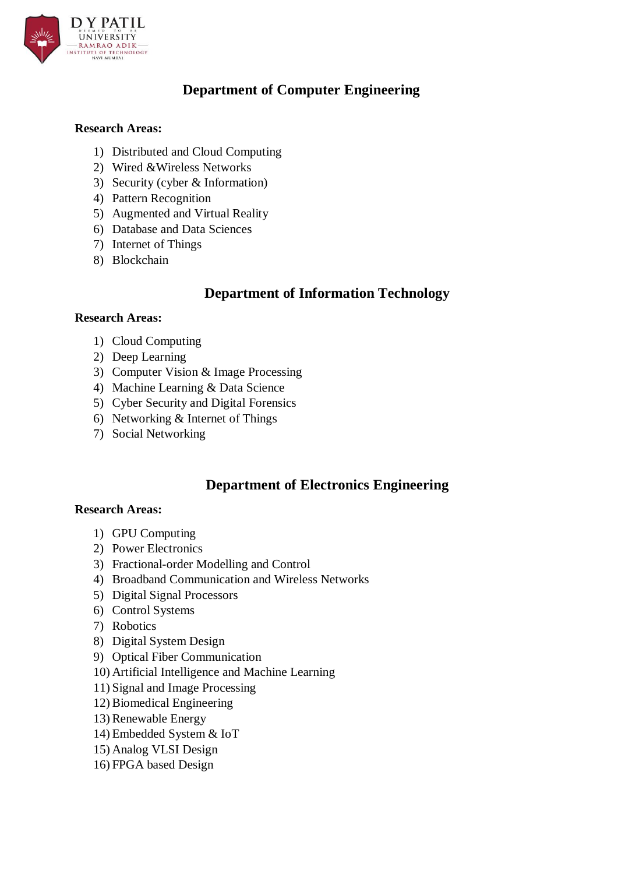

# **Department of Computer Engineering**

## **Research Areas:**

- 1) Distributed and Cloud Computing
- 2) Wired &Wireless Networks
- 3) Security (cyber & Information)
- 4) Pattern Recognition
- 5) Augmented and Virtual Reality
- 6) Database and Data Sciences
- 7) Internet of Things
- 8) Blockchain

## **Department of Information Technology**

### **Research Areas:**

- 1) Cloud Computing
- 2) Deep Learning
- 3) Computer Vision & Image Processing
- 4) Machine Learning & Data Science
- 5) Cyber Security and Digital Forensics
- 6) Networking & Internet of Things
- 7) Social Networking

# **Department of Electronics Engineering**

### **Research Areas:**

- 1) GPU Computing
- 2) Power Electronics
- 3) Fractional-order Modelling and Control
- 4) Broadband Communication and Wireless Networks
- 5) Digital Signal Processors
- 6) Control Systems
- 7) Robotics
- 8) Digital System Design
- 9) Optical Fiber Communication
- 10) Artificial Intelligence and Machine Learning
- 11) Signal and Image Processing
- 12) Biomedical Engineering
- 13) Renewable Energy
- 14) Embedded System & IoT
- 15) Analog VLSI Design
- 16) FPGA based Design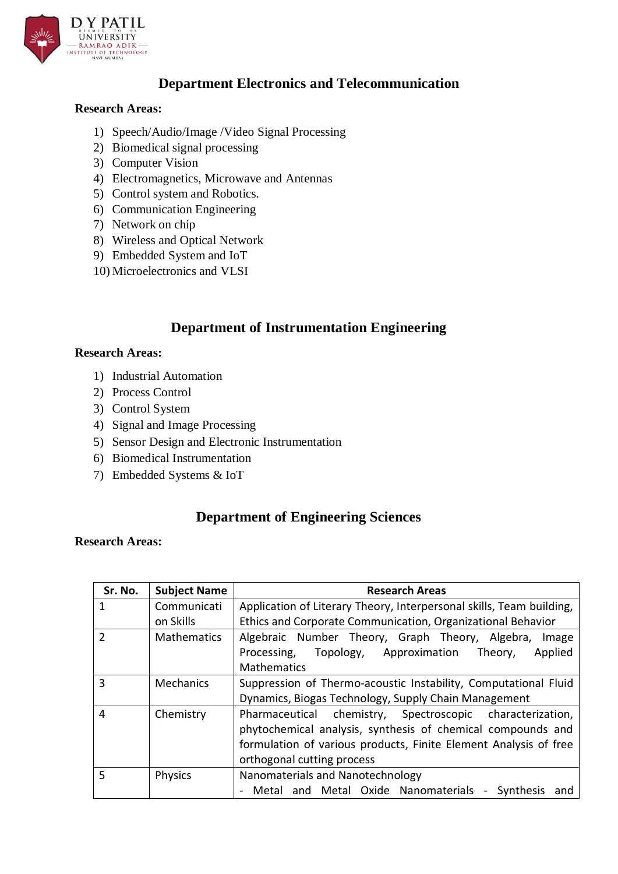

# **Department Electronics and Telecommunication**

## **Research Areas:**

- 1) Speech/Audio/Image /Video Signal Processing
- 2) Biomedical signal processing
- 3) Computer Vision
- 4) Electromagnetics, Microwave and Antennas
- 5) Control system and Robotics.
- 6) Communication Engineering
- 7) Network on chip
- 8) Wireless and Optical Network
- 9) Embedded System and IoT
- 10) Microelectronics and VLSI

# **Department of Instrumentation Engineering**

#### **Research Areas:**

- 1) Industrial Automation
- 2) Process Control
- 3) Control System
- 4) Signal and Image Processing
- 5) Sensor Design and Electronic Instrumentation
- 6) Biomedical Instrumentation
- 7) Embedded Systems & IoT

## **Department of Engineering Sciences**

### **Research Areas:**

| Sr. No.       | <b>Subject Name</b> | <b>Research Areas</b>                                                |
|---------------|---------------------|----------------------------------------------------------------------|
|               | Communicati         | Application of Literary Theory, Interpersonal skills, Team building, |
|               | on Skills           | Ethics and Corporate Communication, Organizational Behavior          |
| $\mathfrak z$ | <b>Mathematics</b>  | Algebraic Number Theory, Graph Theory, Algebra,<br>Image             |
|               |                     | Topology, Approximation<br>Applied<br>Processing,<br>Theory,         |
|               |                     | <b>Mathematics</b>                                                   |
| 3             | <b>Mechanics</b>    | Suppression of Thermo-acoustic Instability, Computational Fluid      |
|               |                     | Dynamics, Biogas Technology, Supply Chain Management                 |
| 4             | Chemistry           | Pharmaceutical chemistry, Spectroscopic characterization,            |
|               |                     | phytochemical analysis, synthesis of chemical compounds and          |
|               |                     | formulation of various products, Finite Element Analysis of free     |
|               |                     | orthogonal cutting process                                           |
| 5             | Physics             | Nanomaterials and Nanotechnology                                     |
|               |                     | Metal and Metal Oxide Nanomaterials - Synthesis<br>and               |